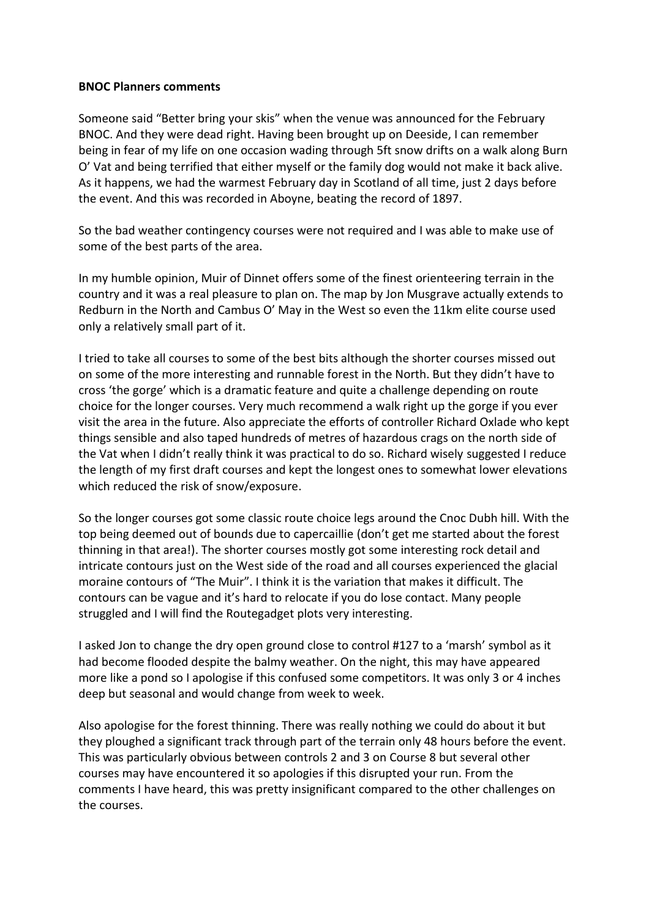## **BNOC Planners comments**

Someone said "Better bring your skis" when the venue was announced for the February BNOC. And they were dead right. Having been brought up on Deeside, I can remember being in fear of my life on one occasion wading through 5ft snow drifts on a walk along Burn O' Vat and being terrified that either myself or the family dog would not make it back alive. As it happens, we had the warmest February day in Scotland of all time, just 2 days before the event. And this was recorded in Aboyne, beating the record of 1897.

So the bad weather contingency courses were not required and I was able to make use of some of the best parts of the area.

In my humble opinion, Muir of Dinnet offers some of the finest orienteering terrain in the country and it was a real pleasure to plan on. The map by Jon Musgrave actually extends to Redburn in the North and Cambus O' May in the West so even the 11km elite course used only a relatively small part of it.

I tried to take all courses to some of the best bits although the shorter courses missed out on some of the more interesting and runnable forest in the North. But they didn't have to cross 'the gorge' which is a dramatic feature and quite a challenge depending on route choice for the longer courses. Very much recommend a walk right up the gorge if you ever visit the area in the future. Also appreciate the efforts of controller Richard Oxlade who kept things sensible and also taped hundreds of metres of hazardous crags on the north side of the Vat when I didn't really think it was practical to do so. Richard wisely suggested I reduce the length of my first draft courses and kept the longest ones to somewhat lower elevations which reduced the risk of snow/exposure.

So the longer courses got some classic route choice legs around the Cnoc Dubh hill. With the top being deemed out of bounds due to capercaillie (don't get me started about the forest thinning in that area!). The shorter courses mostly got some interesting rock detail and intricate contours just on the West side of the road and all courses experienced the glacial moraine contours of "The Muir". I think it is the variation that makes it difficult. The contours can be vague and it's hard to relocate if you do lose contact. Many people struggled and I will find the Routegadget plots very interesting.

I asked Jon to change the dry open ground close to control #127 to a 'marsh' symbol as it had become flooded despite the balmy weather. On the night, this may have appeared more like a pond so I apologise if this confused some competitors. It was only 3 or 4 inches deep but seasonal and would change from week to week.

Also apologise for the forest thinning. There was really nothing we could do about it but they ploughed a significant track through part of the terrain only 48 hours before the event. This was particularly obvious between controls 2 and 3 on Course 8 but several other courses may have encountered it so apologies if this disrupted your run. From the comments I have heard, this was pretty insignificant compared to the other challenges on the courses.